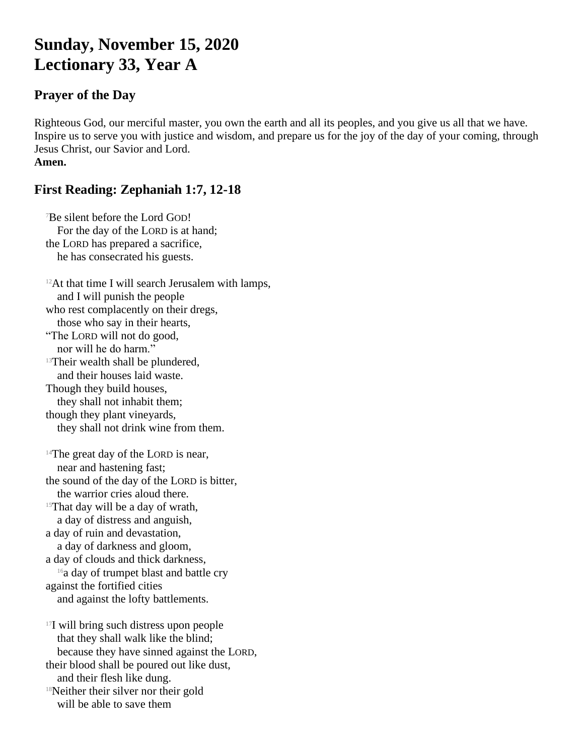# **Sunday, November 15, 2020 Lectionary 33, Year A**

#### **Prayer of the Day**

Righteous God, our merciful master, you own the earth and all its peoples, and you give us all that we have. Inspire us to serve you with justice and wisdom, and prepare us for the joy of the day of your coming, through Jesus Christ, our Savior and Lord. **Amen.**

### **First Reading: Zephaniah 1:7, 12-18**

<sup>7</sup>Be silent before the Lord GOD! For the day of the LORD is at hand; the LORD has prepared a sacrifice, he has consecrated his guests.

 $12$ At that time I will search Jerusalem with lamps, and I will punish the people who rest complacently on their dregs, those who say in their hearts, "The LORD will not do good, nor will he do harm." <sup>13</sup>Their wealth shall be plundered, and their houses laid waste. Though they build houses, they shall not inhabit them; though they plant vineyards, they shall not drink wine from them.  $14$ The great day of the LORD is near, near and hastening fast; the sound of the day of the LORD is bitter, the warrior cries aloud there. <sup>15</sup>That day will be a day of wrath, a day of distress and anguish, a day of ruin and devastation, a day of darkness and gloom, a day of clouds and thick darkness, <sup>16</sup>a day of trumpet blast and battle cry against the fortified cities and against the lofty battlements. <sup>17</sup>I will bring such distress upon people that they shall walk like the blind; because they have sinned against the LORD, their blood shall be poured out like dust, and their flesh like dung. <sup>18</sup>Neither their silver nor their gold will be able to save them